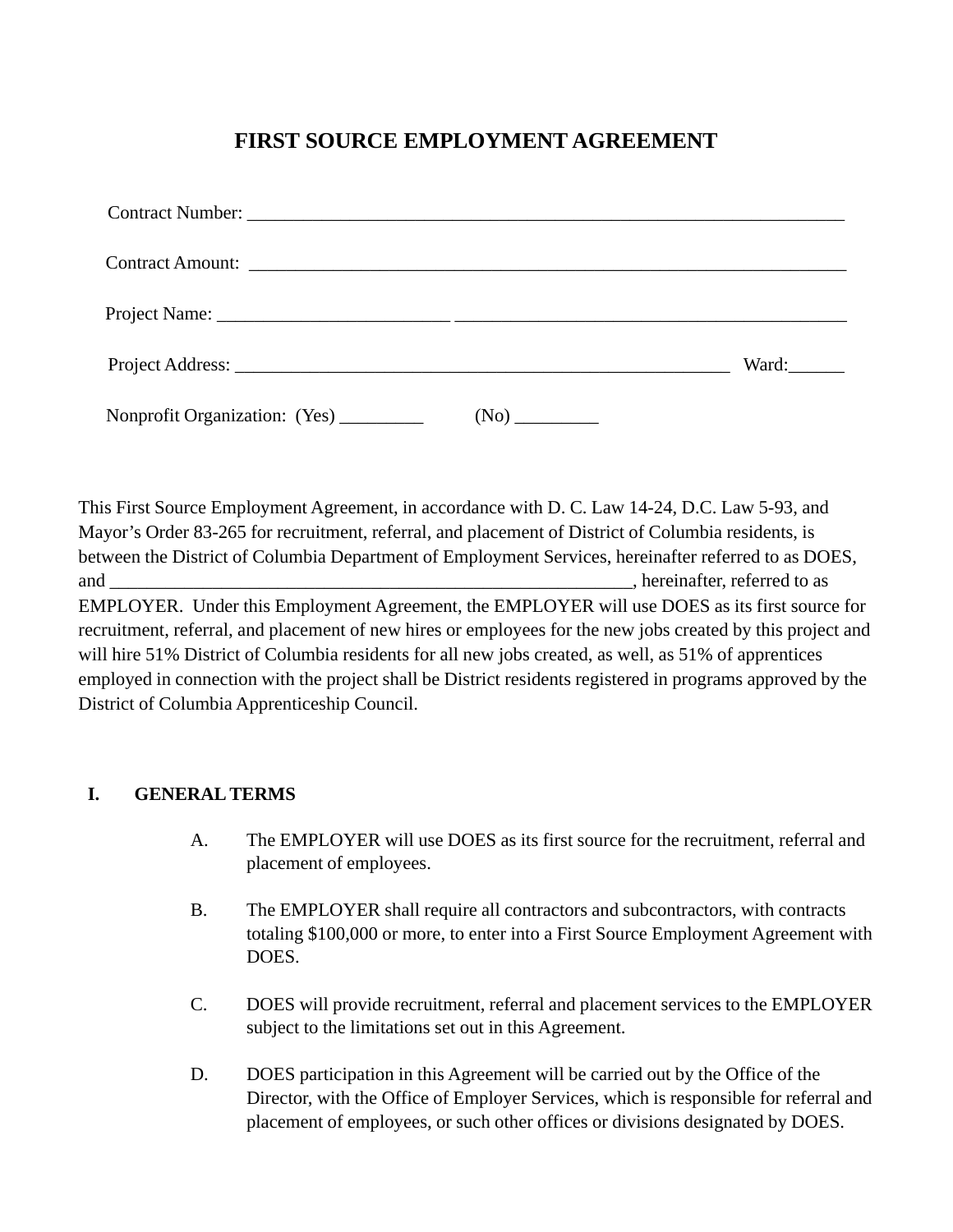# **FIRST SOURCE EMPLOYMENT AGREEMENT**

|                               | Ward: |
|-------------------------------|-------|
| Nonprofit Organization: (Yes) |       |

This First Source Employment Agreement, in accordance with D. C. Law 14-24, D.C. Law 5-93, and Mayor's Order 83-265 for recruitment, referral, and placement of District of Columbia residents, is between the District of Columbia Department of Employment Services, hereinafter referred to as DOES, and and  $\Box$ EMPLOYER. Under this Employment Agreement, the EMPLOYER will use DOES as its first source for recruitment, referral, and placement of new hires or employees for the new jobs created by this project and will hire 51% District of Columbia residents for all new jobs created, as well, as 51% of apprentices employed in connection with the project shall be District residents registered in programs approved by the District of Columbia Apprenticeship Council.

### **I. GENERAL TERMS**

- A. The EMPLOYER will use DOES as its first source for the recruitment, referral and placement of employees.
- B. The EMPLOYER shall require all contractors and subcontractors, with contracts totaling \$100,000 or more, to enter into a First Source Employment Agreement with DOES.
- C. DOES will provide recruitment, referral and placement services to the EMPLOYER subject to the limitations set out in this Agreement.
- D. DOES participation in this Agreement will be carried out by the Office of the Director, with the Office of Employer Services, which is responsible for referral and placement of employees, or such other offices or divisions designated by DOES.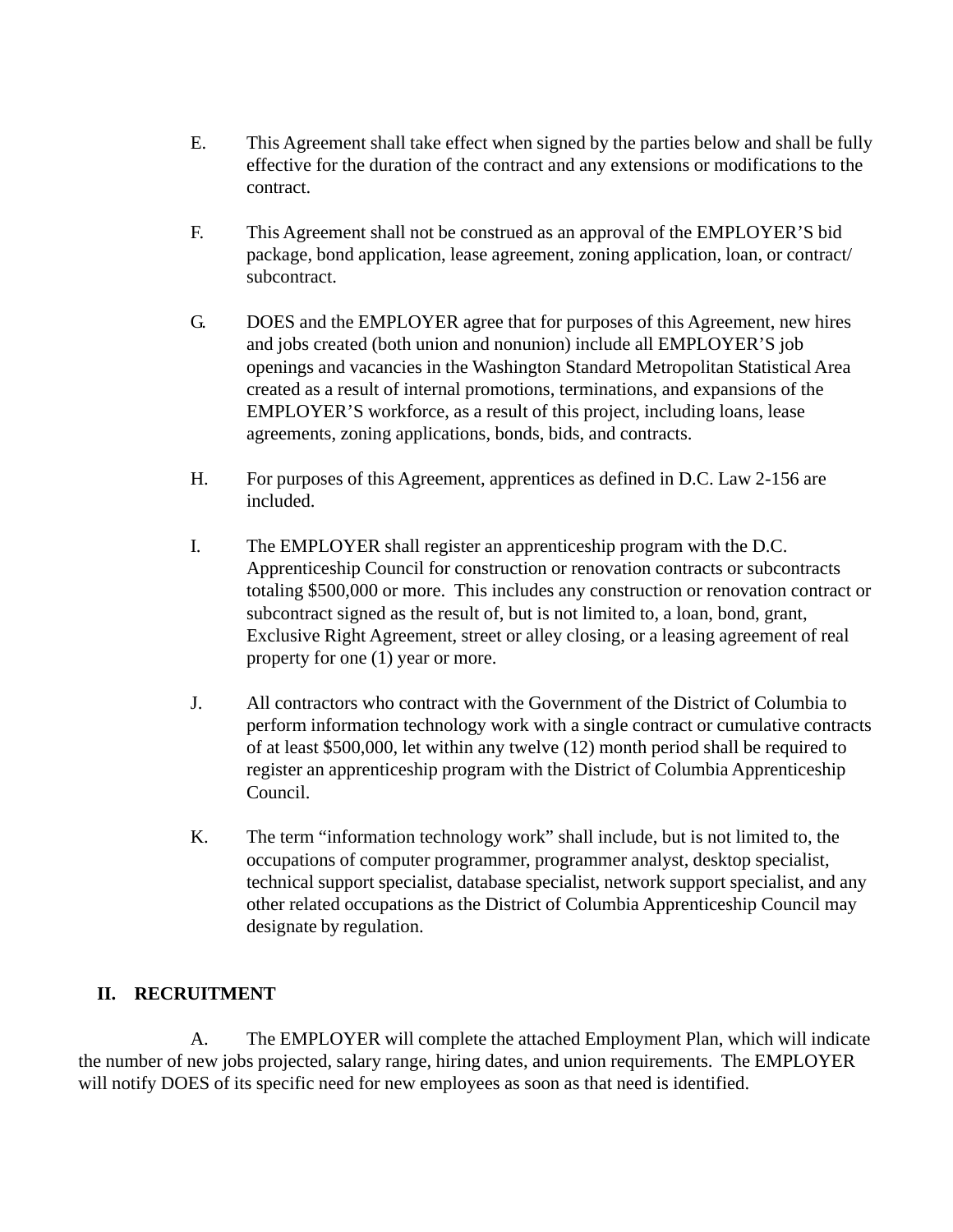- E. This Agreement shall take effect when signed by the parties below and shall be fully effective for the duration of the contract and any extensions or modifications to the contract.
- F. This Agreement shall not be construed as an approval of the EMPLOYER'S bid package, bond application, lease agreement, zoning application, loan, or contract/ subcontract.
- G. DOES and the EMPLOYER agree that for purposes of this Agreement, new hires and jobs created (both union and nonunion) include all EMPLOYER'S job openings and vacancies in the Washington Standard Metropolitan Statistical Area created as a result of internal promotions, terminations, and expansions of the EMPLOYER'S workforce, as a result of this project, including loans, lease agreements, zoning applications, bonds, bids, and contracts.
- H. For purposes of this Agreement, apprentices as defined in D.C. Law 2-156 are included.
- I. The EMPLOYER shall register an apprenticeship program with the D.C. Apprenticeship Council for construction or renovation contracts or subcontracts totaling \$500,000 or more. This includes any construction or renovation contract or subcontract signed as the result of, but is not limited to, a loan, bond, grant, Exclusive Right Agreement, street or alley closing, or a leasing agreement of real property for one (1) year or more.
- J. All contractors who contract with the Government of the District of Columbia to perform information technology work with a single contract or cumulative contracts of at least \$500,000, let within any twelve (12) month period shall be required to register an apprenticeship program with the District of Columbia Apprenticeship Council.
- K. The term "information technology work" shall include, but is not limited to, the occupations of computer programmer, programmer analyst, desktop specialist, technical support specialist, database specialist, network support specialist, and any other related occupations as the District of Columbia Apprenticeship Council may designate by regulation.

### **II. RECRUITMENT**

A. The EMPLOYER will complete the attached Employment Plan, which will indicate the number of new jobs projected, salary range, hiring dates, and union requirements. The EMPLOYER will notify DOES of its specific need for new employees as soon as that need is identified.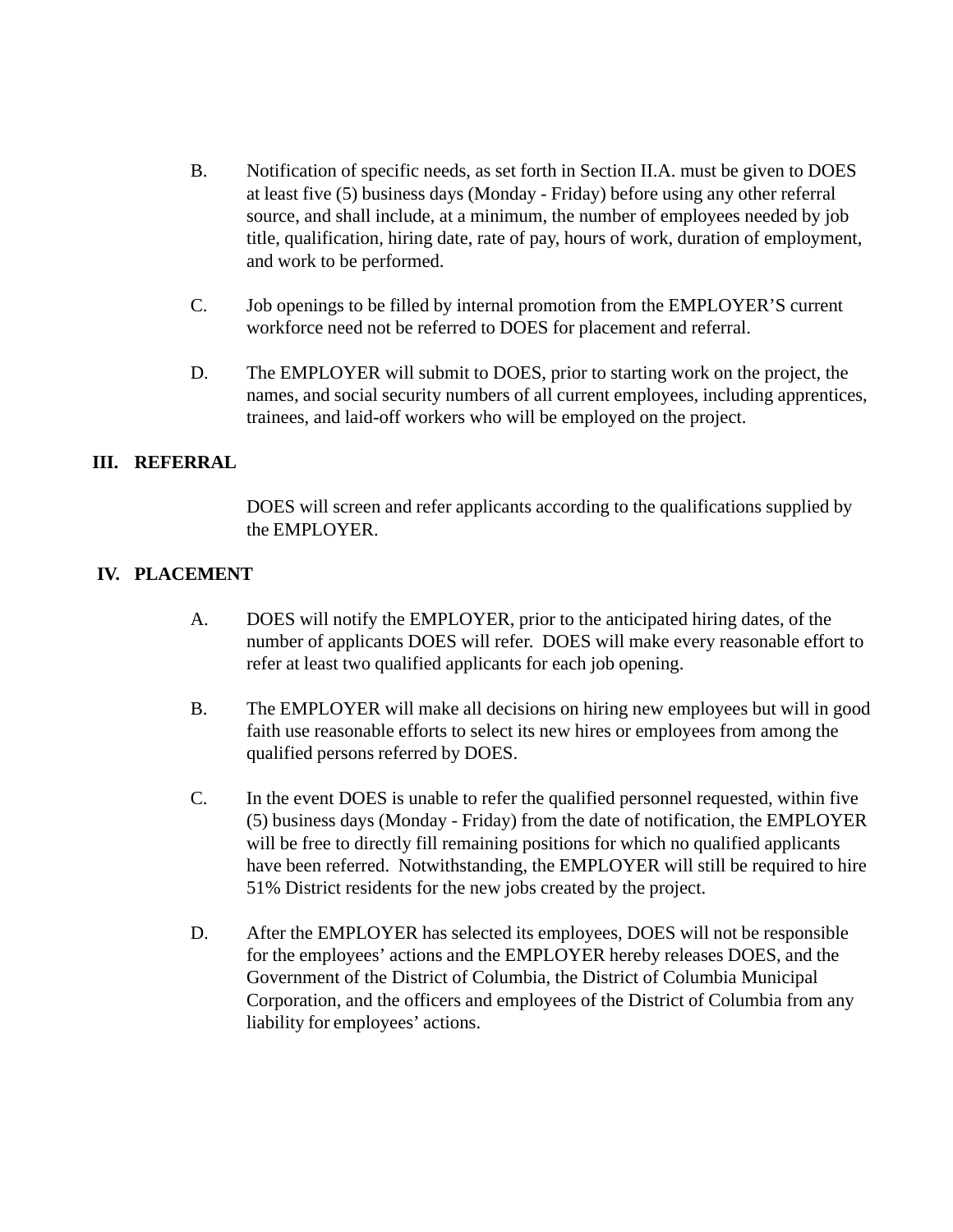- B. Notification of specific needs, as set forth in Section II.A. must be given to DOES at least five (5) business days (Monday - Friday) before using any other referral source, and shall include, at a minimum, the number of employees needed by job title, qualification, hiring date, rate of pay, hours of work, duration of employment, and work to be performed.
- C. Job openings to be filled by internal promotion from the EMPLOYER'S current workforce need not be referred to DOES for placement and referral.
- D. The EMPLOYER will submit to DOES, prior to starting work on the project, the names, and social security numbers of all current employees, including apprentices, trainees, and laid-off workers who will be employed on the project.

### **III. REFERRAL**

DOES will screen and refer applicants according to the qualifications supplied by the EMPLOYER.

#### **IV. PLACEMENT**

- A. DOES will notify the EMPLOYER, prior to the anticipated hiring dates, of the number of applicants DOES will refer. DOES will make every reasonable effort to refer at least two qualified applicants for each job opening.
- B. The EMPLOYER will make all decisions on hiring new employees but will in good faith use reasonable efforts to select its new hires or employees from among the qualified persons referred by DOES.
- C. In the event DOES is unable to refer the qualified personnel requested, within five (5) business days (Monday - Friday) from the date of notification, the EMPLOYER will be free to directly fill remaining positions for which no qualified applicants have been referred. Notwithstanding, the EMPLOYER will still be required to hire 51% District residents for the new jobs created by the project.
- D. After the EMPLOYER has selected its employees, DOES will not be responsible for the employees' actions and the EMPLOYER hereby releases DOES, and the Government of the District of Columbia, the District of Columbia Municipal Corporation, and the officers and employees of the District of Columbia from any liability for employees' actions.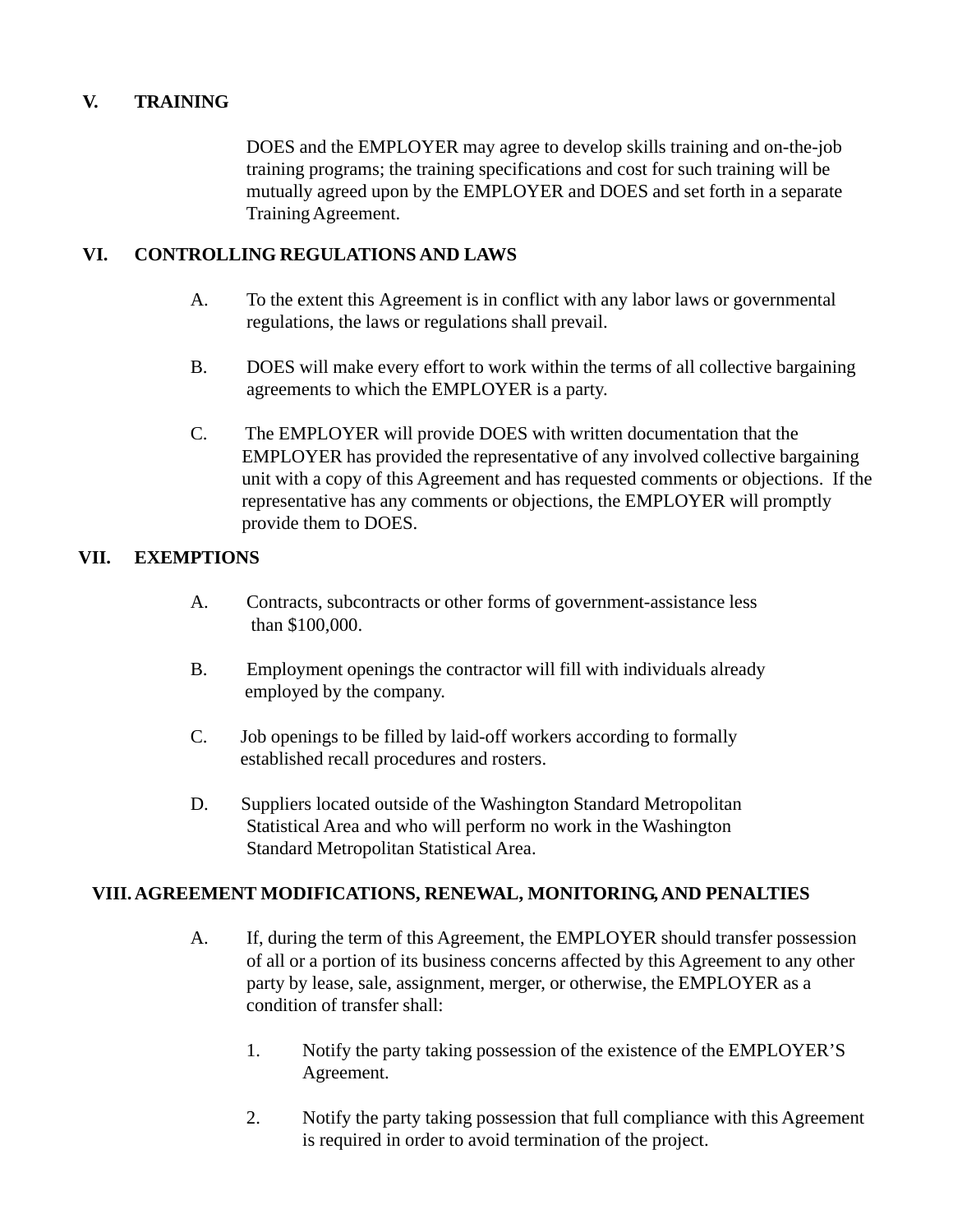### **V. TRAINING**

DOES and the EMPLOYER may agree to develop skills training and on-the-job training programs; the training specifications and cost for such training will be mutually agreed upon by the EMPLOYER and DOES and set forth in a separate Training Agreement.

### **VI. CONTROLLING REGULATIONS AND LAWS**

- A. To the extent this Agreement is in conflict with any labor laws or governmental regulations, the laws or regulations shall prevail.
- B. DOES will make every effort to work within the terms of all collective bargaining agreements to which the EMPLOYER is a party.
- C. The EMPLOYER will provide DOES with written documentation that the EMPLOYER has provided the representative of any involved collective bargaining unit with a copy of this Agreement and has requested comments or objections. If the representative has any comments or objections, the EMPLOYER will promptly provide them to DOES.

#### **VII. EXEMPTIONS**

- A. Contracts, subcontracts or other forms of government-assistance less than \$100,000.
- B. Employment openings the contractor will fill with individuals already employed by the company.
- C. Job openings to be filled by laid-off workers according to formally established recall procedures and rosters.
- D. Suppliers located outside of the Washington Standard Metropolitan Statistical Area and who will perform no work in the Washington Standard Metropolitan Statistical Area.

#### **VIII. AGREEMENT MODIFICATIONS, RENEWAL, MONITORING, AND PENALTIES**

- A. If, during the term of this Agreement, the EMPLOYER should transfer possession of all or a portion of its business concerns affected by this Agreement to any other party by lease, sale, assignment, merger, or otherwise, the EMPLOYER as a condition of transfer shall:
	- 1. Notify the party taking possession of the existence of the EMPLOYER'S Agreement.
	- 2. Notify the party taking possession that full compliance with this Agreement is required in order to avoid termination of the project.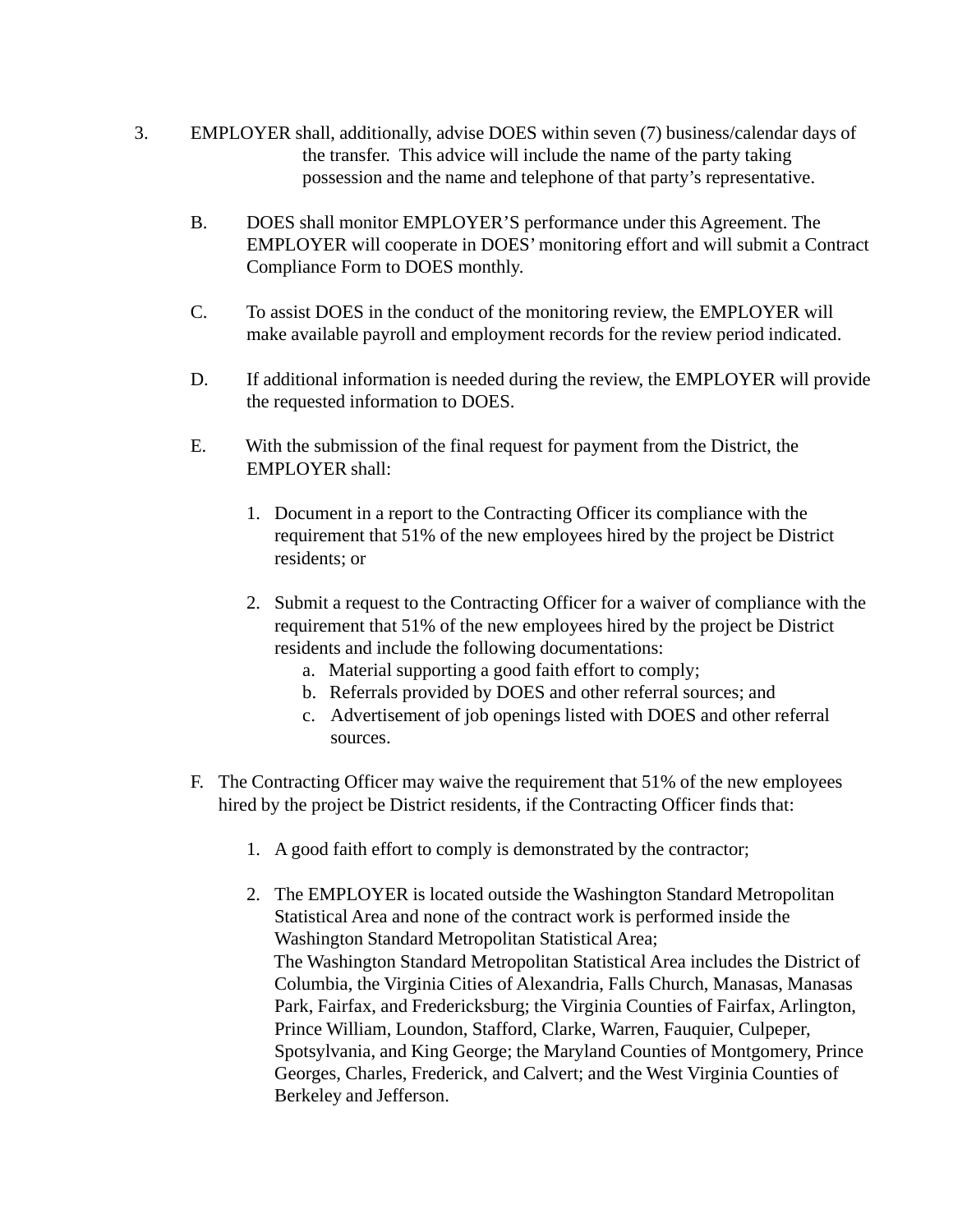- 3. EMPLOYER shall, additionally, advise DOES within seven (7) business/calendar days of the transfer. This advice will include the name of the party taking possession and the name and telephone of that party's representative.
	- B. DOES shall monitor EMPLOYER'S performance under this Agreement. The EMPLOYER will cooperate in DOES' monitoring effort and will submit a Contract Compliance Form to DOES monthly.
	- C. To assist DOES in the conduct of the monitoring review, the EMPLOYER will make available payroll and employment records for the review period indicated.
	- D. If additional information is needed during the review, the EMPLOYER will provide the requested information to DOES.
	- E. With the submission of the final request for payment from the District, the EMPLOYER shall:
		- 1. Document in a report to the Contracting Officer its compliance with the requirement that 51% of the new employees hired by the project be District residents; or
		- 2. Submit a request to the Contracting Officer for a waiver of compliance with the requirement that 51% of the new employees hired by the project be District residents and include the following documentations:
			- a. Material supporting a good faith effort to comply;
			- b. Referrals provided by DOES and other referral sources; and
			- c. Advertisement of job openings listed with DOES and other referral sources.
	- F. The Contracting Officer may waive the requirement that 51% of the new employees hired by the project be District residents, if the Contracting Officer finds that:
		- 1. A good faith effort to comply is demonstrated by the contractor;
		- 2. The EMPLOYER is located outside the Washington Standard Metropolitan Statistical Area and none of the contract work is performed inside the Washington Standard Metropolitan Statistical Area; The Washington Standard Metropolitan Statistical Area includes the District of Columbia, the Virginia Cities of Alexandria, Falls Church, Manasas, Manasas Park, Fairfax, and Fredericksburg; the Virginia Counties of Fairfax, Arlington, Prince William, Loundon, Stafford, Clarke, Warren, Fauquier, Culpeper, Spotsylvania, and King George; the Maryland Counties of Montgomery, Prince Georges, Charles, Frederick, and Calvert; and the West Virginia Counties of Berkeley and Jefferson.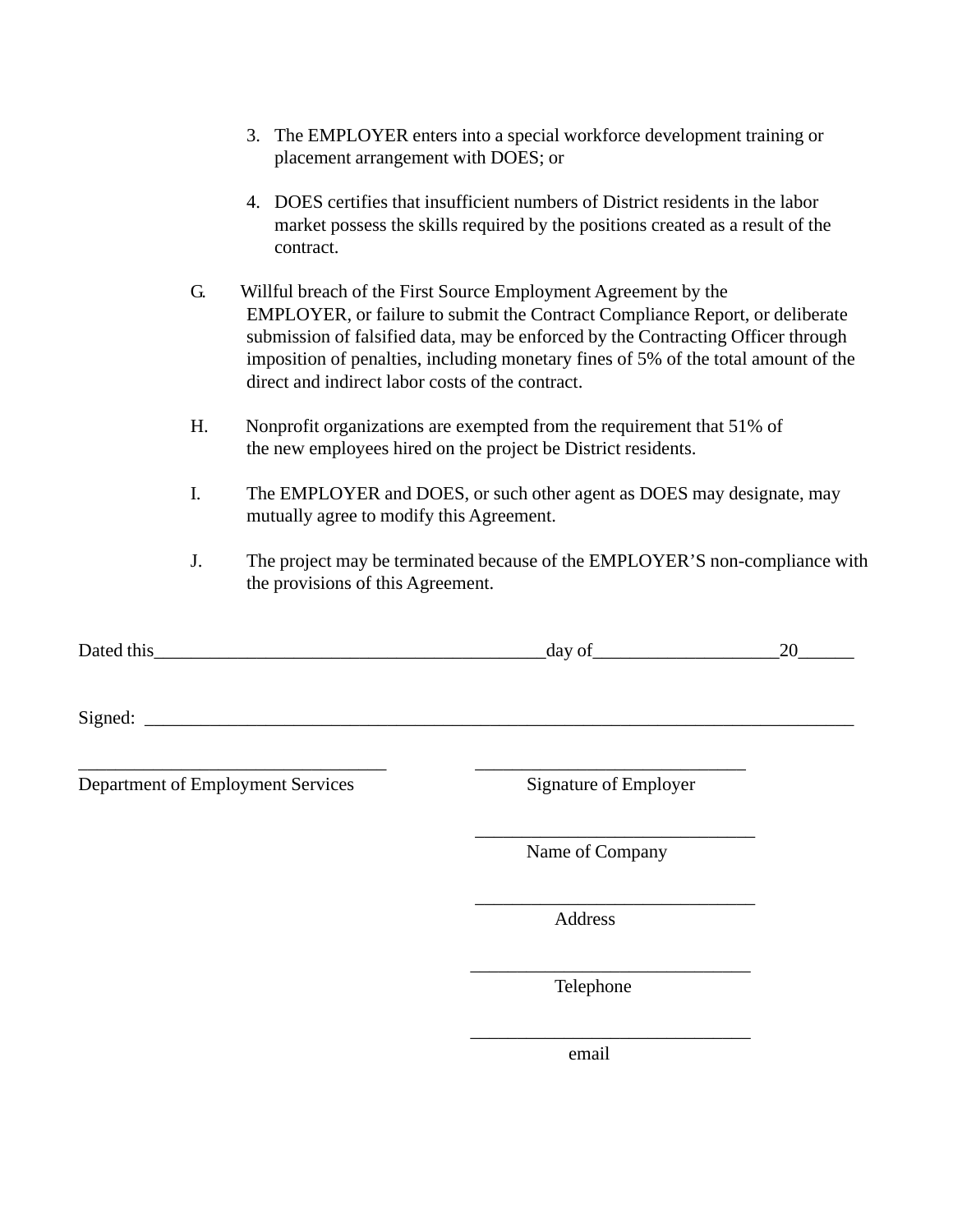| 3. The EMPLOYER enters into a special workforce development training or |
|-------------------------------------------------------------------------|
| placement arrangement with DOES; or                                     |

- 4. DOES certifies that insufficient numbers of District residents in the labor market possess the skills required by the positions created as a result of the contract.
- G. Willful breach of the First Source Employment Agreement by the EMPLOYER, or failure to submit the Contract Compliance Report, or deliberate submission of falsified data, may be enforced by the Contracting Officer through imposition of penalties, including monetary fines of 5% of the total amount of the direct and indirect labor costs of the contract.
- H. Nonprofit organizations are exempted from the requirement that 51% of the new employees hired on the project be District residents.
- I. The EMPLOYER and DOES, or such other agent as DOES may designate, may mutually agree to modify this Agreement.
- J. The project may be terminated because of the EMPLOYER'S non-compliance with the provisions of this Agreement.

| Dated this <u>example and the set of the set of the set of the set of the set of the set of the set of the set of the set of the set of the set of the set of the set of the set of the set of the set of the set of the set of </u> | day of                | 20 |
|--------------------------------------------------------------------------------------------------------------------------------------------------------------------------------------------------------------------------------------|-----------------------|----|
|                                                                                                                                                                                                                                      |                       |    |
| Department of Employment Services                                                                                                                                                                                                    | Signature of Employer |    |
|                                                                                                                                                                                                                                      | Name of Company       |    |
|                                                                                                                                                                                                                                      | Address               |    |
|                                                                                                                                                                                                                                      | Telephone             |    |
|                                                                                                                                                                                                                                      | email                 |    |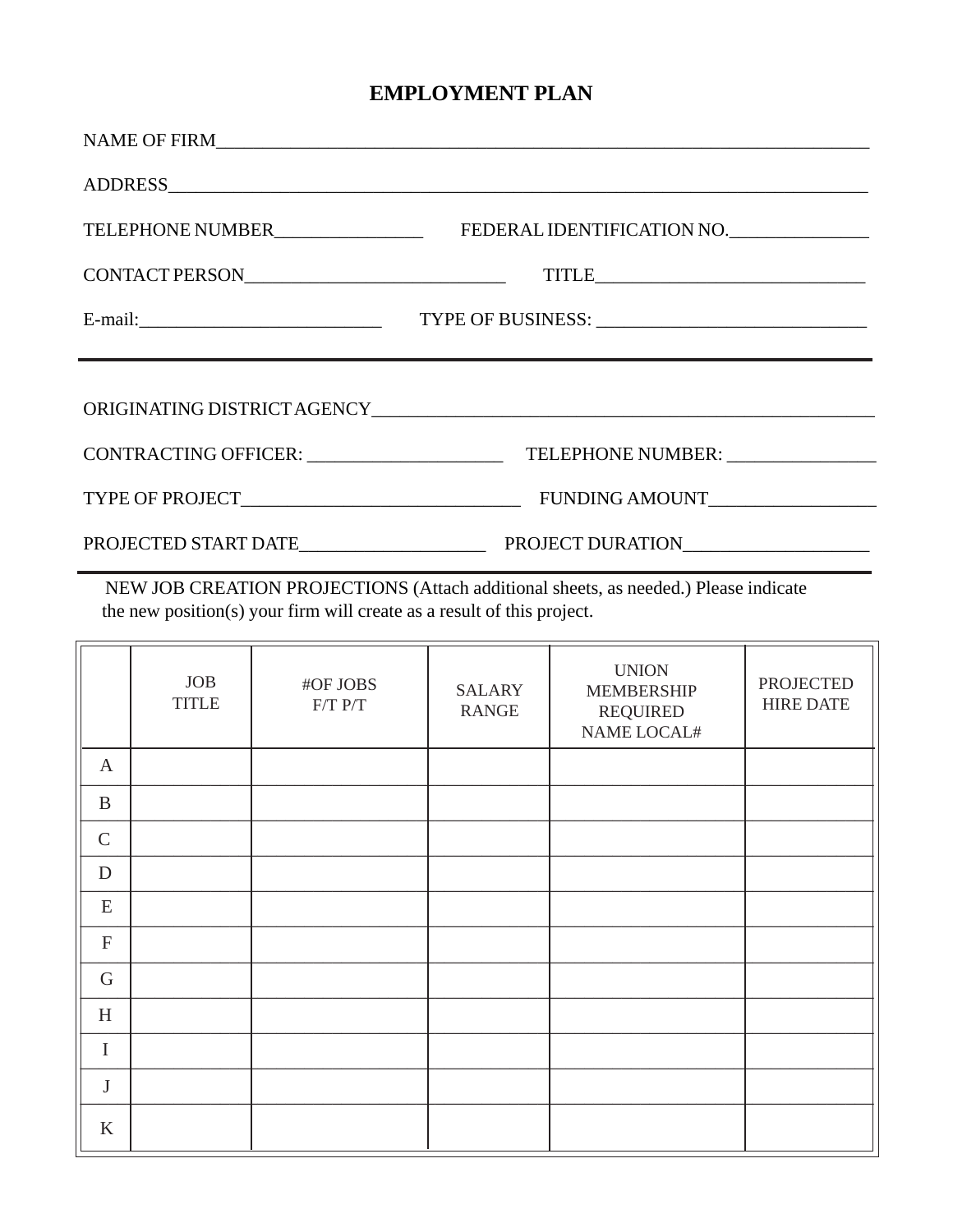## **EMPLOYMENT PLAN**

|                            | TITLE                                                                            |
|----------------------------|----------------------------------------------------------------------------------|
| $E$ -mail: $\qquad \qquad$ |                                                                                  |
|                            | ,我们也不会有什么。""我们的人,我们也不会有什么?""我们的人,我们也不会有什么?""我们的人,我们也不会有什么?""我们的人,我们也不会有什么?""我们的人 |
|                            |                                                                                  |
|                            |                                                                                  |
|                            |                                                                                  |
|                            |                                                                                  |

NEW JOB CREATION PROJECTIONS (Attach additional sheets, as needed.) Please indicate the new position(s) your firm will create as a result of this project.

|                           | <b>JOB</b><br><b>TITLE</b> | #OF JOBS<br>$F/T$ $P/T$ | <b>SALARY</b><br><b>RANGE</b> | <b>UNION</b><br><b>MEMBERSHIP</b><br><b>REQUIRED</b><br>NAME LOCAL# | <b>PROJECTED</b><br><b>HIRE DATE</b> |
|---------------------------|----------------------------|-------------------------|-------------------------------|---------------------------------------------------------------------|--------------------------------------|
| $\mathbf{A}$              |                            |                         |                               |                                                                     |                                      |
| $\bf{B}$                  |                            |                         |                               |                                                                     |                                      |
| $\mathsf{C}$              |                            |                         |                               |                                                                     |                                      |
| $\mathbf D$               |                            |                         |                               |                                                                     |                                      |
| ${\bf E}$                 |                            |                         |                               |                                                                     |                                      |
| $\boldsymbol{\mathrm{F}}$ |                            |                         |                               |                                                                     |                                      |
| ${\bf G}$                 |                            |                         |                               |                                                                     |                                      |
| H                         |                            |                         |                               |                                                                     |                                      |
| $\mathbf I$               |                            |                         |                               |                                                                     |                                      |
| $\bf J$                   |                            |                         |                               |                                                                     |                                      |
| K                         |                            |                         |                               |                                                                     |                                      |